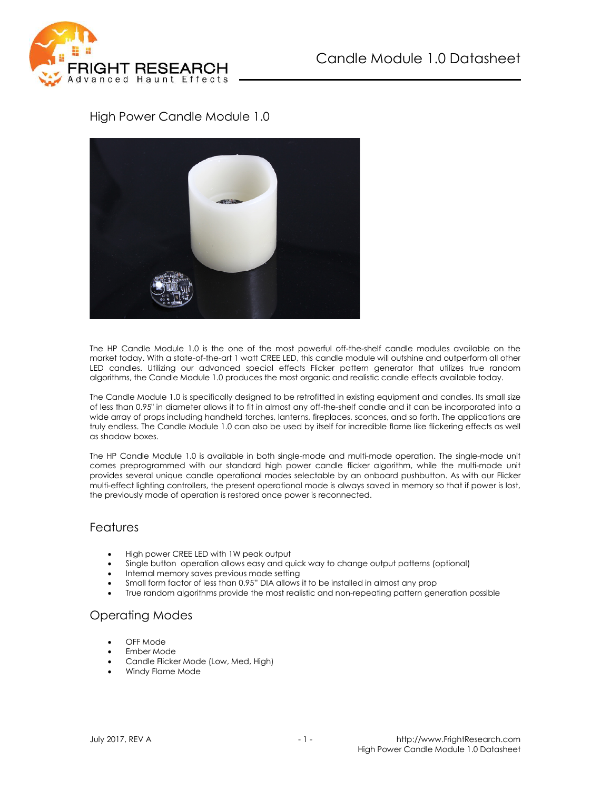

### High Power Candle Module 1.0



The HP Candle Module 1.0 is the one of the most powerful off-the-shelf candle modules available on the market today. With a state-of-the-art 1 watt CREE LED, this candle module will outshine and outperform all other LED candles. Utilizing our advanced special effects Flicker pattern generator that utilizes true random algorithms, the Candle Module 1.0 produces the most organic and realistic candle effects available today.

The Candle Module 1.0 is specifically designed to be retrofitted in existing equipment and candles. Its small size of less than 0.95" in diameter allows it to fit in almost any off-the-shelf candle and it can be incorporated into a wide array of props including handheld torches, lanterns, fireplaces, sconces, and so forth. The applications are truly endless. The Candle Module 1.0 can also be used by itself for incredible flame like flickering effects as well as shadow boxes.

The HP Candle Module 1.0 is available in both single-mode and multi-mode operation. The single-mode unit comes preprogrammed with our standard high power candle flicker algorithm, while the multi-mode unit provides several unique candle operational modes selectable by an onboard pushbutton. As with our Flicker multi-effect lighting controllers, the present operational mode is always saved in memory so that if power is lost, the previously mode of operation is restored once power is reconnected.

#### Features

- High power CREE LED with 1W peak output
- Single button operation allows easy and quick way to change output patterns (optional)
- Internal memory saves previous mode setting
- Small form factor of less than 0.95" DIA allows it to be installed in almost any prop
- True random algorithms provide the most realistic and non-repeating pattern generation possible

#### Operating Modes

- OFF Mode
- Ember Mode
- Candle Flicker Mode (Low, Med, High)
- Windy Flame Mode